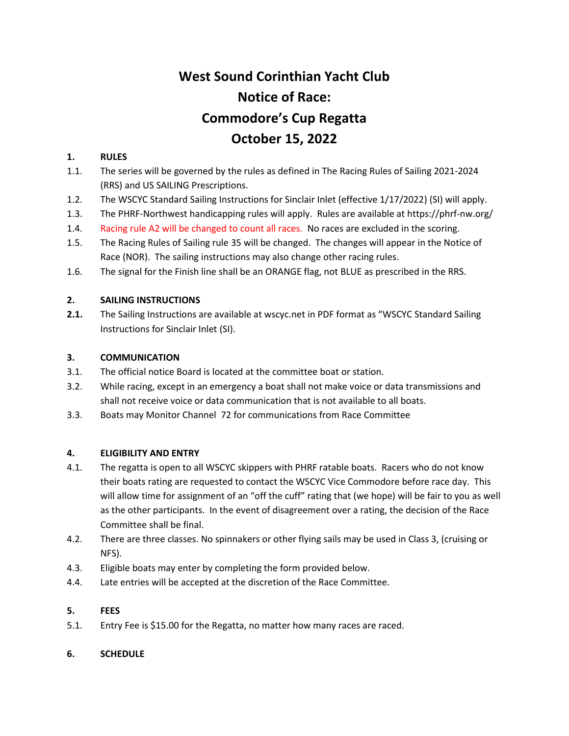# **West Sound Corinthian Yacht Club Notice of Race: Commodore's Cup Regatta October 15, 2022**

# **1. RULES**

- 1.1. The series will be governed by the rules as defined in The Racing Rules of Sailing 2021-2024 (RRS) and US SAILING Prescriptions.
- 1.2. The WSCYC Standard Sailing Instructions for Sinclair Inlet (effective 1/17/2022) (SI) will apply.
- 1.3. The PHRF-Northwest handicapping rules will apply. Rules are available at https://phrf-nw.org/
- 1.4. Racing rule A2 will be changed to count all races. No races are excluded in the scoring.
- 1.5. The Racing Rules of Sailing rule 35 will be changed. The changes will appear in the Notice of Race (NOR). The sailing instructions may also change other racing rules.
- 1.6. The signal for the Finish line shall be an ORANGE flag, not BLUE as prescribed in the RRS.

#### **2. SAILING INSTRUCTIONS**

**2.1.** The Sailing Instructions are available at wscyc.net in PDF format as "WSCYC Standard Sailing Instructions for Sinclair Inlet (SI).

#### **3. COMMUNICATION**

- 3.1. The official notice Board is located at the committee boat or station.
- 3.2. While racing, except in an emergency a boat shall not make voice or data transmissions and shall not receive voice or data communication that is not available to all boats.
- 3.3. Boats may Monitor Channel 72 for communications from Race Committee

#### **4. ELIGIBILITY AND ENTRY**

- 4.1. The regatta is open to all WSCYC skippers with PHRF ratable boats. Racers who do not know their boats rating are requested to contact the WSCYC Vice Commodore before race day. This will allow time for assignment of an "off the cuff" rating that (we hope) will be fair to you as well as the other participants. In the event of disagreement over a rating, the decision of the Race Committee shall be final.
- 4.2. There are three classes. No spinnakers or other flying sails may be used in Class 3, (cruising or NFS).
- 4.3. Eligible boats may enter by completing the form provided below.
- 4.4. Late entries will be accepted at the discretion of the Race Committee.

# **5. FEES**

5.1. Entry Fee is \$15.00 for the Regatta, no matter how many races are raced.

# **6. SCHEDULE**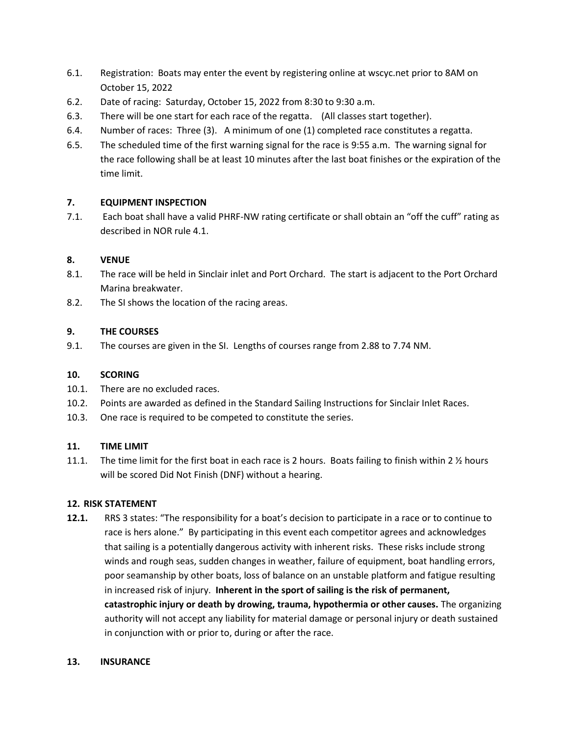- 6.1. Registration: Boats may enter the event by registering online at wscyc.net prior to 8AM on October 15, 2022
- 6.2. Date of racing: Saturday, October 15, 2022 from 8:30 to 9:30 a.m.
- 6.3. There will be one start for each race of the regatta. (All classes start together).
- 6.4. Number of races: Three (3). A minimum of one (1) completed race constitutes a regatta.
- 6.5. The scheduled time of the first warning signal for the race is 9:55 a.m. The warning signal for the race following shall be at least 10 minutes after the last boat finishes or the expiration of the time limit.

# **7. EQUIPMENT INSPECTION**

7.1. Each boat shall have a valid PHRF-NW rating certificate or shall obtain an "off the cuff" rating as described in NOR rule 4.1.

#### **8. VENUE**

- 8.1. The race will be held in Sinclair inlet and Port Orchard. The start is adjacent to the Port Orchard Marina breakwater.
- 8.2. The SI shows the location of the racing areas.

#### **9. THE COURSES**

9.1. The courses are given in the SI. Lengths of courses range from 2.88 to 7.74 NM.

#### **10. SCORING**

- 10.1. There are no excluded races.
- 10.2. Points are awarded as defined in the Standard Sailing Instructions for Sinclair Inlet Races.
- 10.3. One race is required to be competed to constitute the series.

#### **11. TIME LIMIT**

11.1. The time limit for the first boat in each race is 2 hours. Boats failing to finish within 2  $\frac{1}{2}$  hours will be scored Did Not Finish (DNF) without a hearing.

#### **12. RISK STATEMENT**

**12.1.** RRS 3 states: "The responsibility for a boat's decision to participate in a race or to continue to race is hers alone." By participating in this event each competitor agrees and acknowledges that sailing is a potentially dangerous activity with inherent risks. These risks include strong winds and rough seas, sudden changes in weather, failure of equipment, boat handling errors, poor seamanship by other boats, loss of balance on an unstable platform and fatigue resulting in increased risk of injury. **Inherent in the sport of sailing is the risk of permanent, catastrophic injury or death by drowing, trauma, hypothermia or other causes.** The organizing authority will not accept any liability for material damage or personal injury or death sustained in conjunction with or prior to, during or after the race.

#### **13. INSURANCE**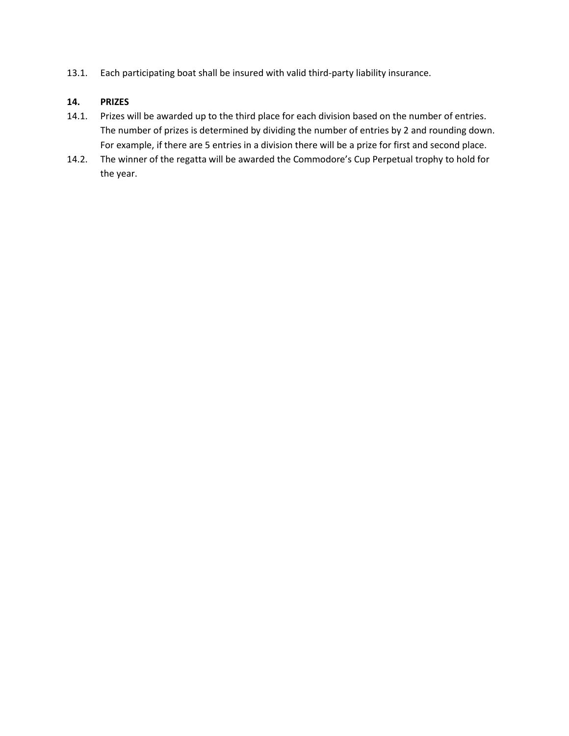13.1. Each participating boat shall be insured with valid third-party liability insurance.

# **14. PRIZES**

- 14.1. Prizes will be awarded up to the third place for each division based on the number of entries. The number of prizes is determined by dividing the number of entries by 2 and rounding down. For example, if there are 5 entries in a division there will be a prize for first and second place.
- 14.2. The winner of the regatta will be awarded the Commodore's Cup Perpetual trophy to hold for the year.